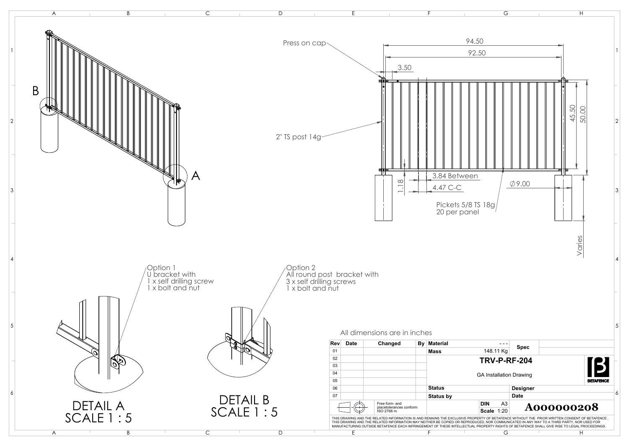